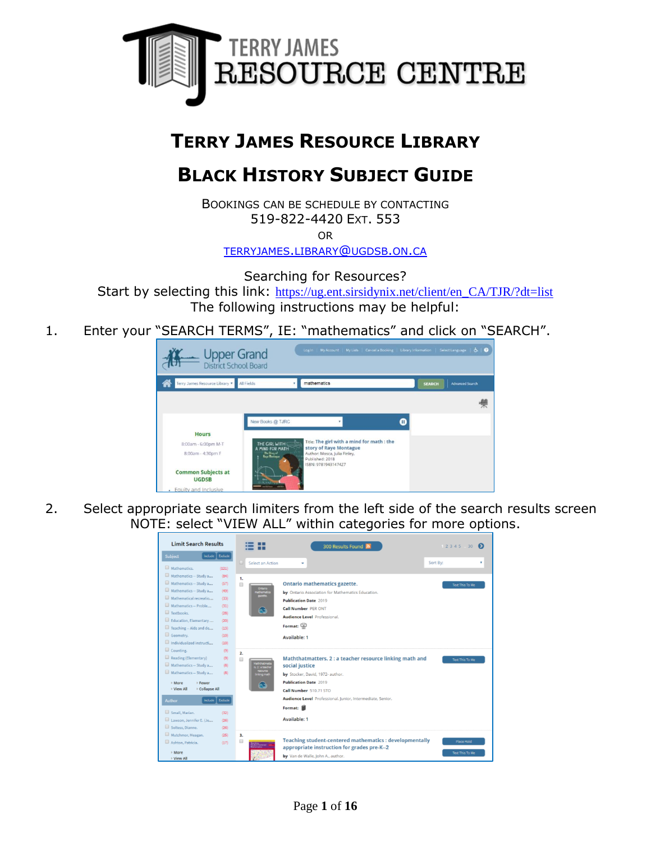

# **TERRY JAMES RESOURCE LIBRARY**

# **BLACK HISTORY SUBJECT GUIDE**

BOOKINGS CAN BE SCHEDULE BY CONTACTING 519-822-4420 EXT. 553

OR

[TERRYJAMES](mailto:terryjames.library@ugdsb.on.ca).LIBRARY@UGDSB.ON.CA

Searching for Resources?

Start by selecting this link: [https://ug.ent.sirsidynix.net/client/en\\_CA/TJR/?dt=list](https://ug.ent.sirsidynix.net/client/en_CA/TJR/?dt=list) The following instructions may be helpful:

1. Enter your "SEARCH TERMS", IE: "mathematics" and click on "SEARCH".



2. Select appropriate search limiters from the left side of the search results screen NOTE: select "VIEW ALL" within categories for more options.

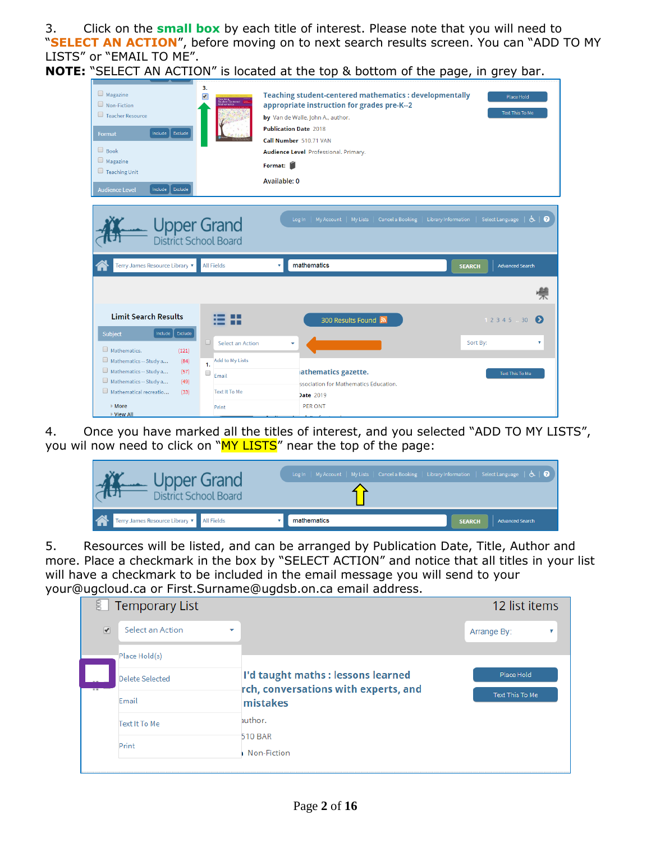3. Click on the **small box** by each title of interest. Please note that you will need to "**SELECT AN ACTION**", before moving on to next search results screen. You can "ADD TO MY LISTS" or "EMAIL TO ME".

**NOTE:** "SELECT AN ACTION" is located at the top & bottom of the page, in grey bar.

| $\Box$ Magazine<br>$\Box$ Non-Fiction<br>Teacher Resource<br>Exclude<br>Include  <br>Format<br>$\Box$ Book<br>$\Box$ Magazine<br>$\Box$ Teaching Unit<br>Include<br>Exclude<br><b>Audience Level</b> | 3.                                       | <b>Teaching student-centered mathematics : developmentally</b><br>appropriate instruction for grades pre-K--2<br>by Van de Walle, John A., author.<br><b>Publication Date 2018</b><br>Call Number 510.71 VAN<br>Audience Level Professional. Primary.<br>Format:<br>Available: 0 | Place Hold<br><b>Text This To Me</b>                    |
|------------------------------------------------------------------------------------------------------------------------------------------------------------------------------------------------------|------------------------------------------|----------------------------------------------------------------------------------------------------------------------------------------------------------------------------------------------------------------------------------------------------------------------------------|---------------------------------------------------------|
|                                                                                                                                                                                                      | Upper Grand<br>District School Board     | My Account<br>My Lists<br>Cancel a Booking<br>Log In                                                                                                                                                                                                                             | $\circledcirc$<br>Library Information   Select Language |
| Terry James Resource Library ▼                                                                                                                                                                       | <b>All Fields</b>                        | mathematics<br>۷                                                                                                                                                                                                                                                                 | <b>Advanced Search</b><br><b>SEARCH</b>                 |
|                                                                                                                                                                                                      |                                          |                                                                                                                                                                                                                                                                                  |                                                         |
| <b>Limit Search Results</b>                                                                                                                                                                          |                                          | 300 Results Found <b>A</b>                                                                                                                                                                                                                                                       | 1 2 3 4 5 30<br>$\bullet$                               |
| Include<br>Exclude<br>Subject<br>Mathematics.<br>(121)                                                                                                                                               | С<br>Select an Action<br>Add to My Lists | ٠                                                                                                                                                                                                                                                                                | Sort By:<br>۷                                           |
| Mathematics -- Study a<br>(84)<br>Mathematics -- Study a<br>(57)<br>Mathematics -- Study a<br>(49)                                                                                                   | $\mathbf{1}$<br>$\Box$<br>Email          | athematics gazette.<br>ssociation for Mathematics Education.                                                                                                                                                                                                                     | Text This To Me                                         |
| Mathematical recreatio<br>(33)<br>$\triangleright$ More<br>▶ View All                                                                                                                                | Text It To Me<br>Print                   | <b>Date 2019</b><br><b>PER ONT</b>                                                                                                                                                                                                                                               |                                                         |

4. Once you have marked all the titles of interest, and you selected "ADD TO MY LISTS", you wil now need to click on "MY LISTS" near the top of the page:



5. Resources will be listed, and can be arranged by Publication Date, Title, Author and more. Place a checkmark in the box by "SELECT ACTION" and notice that all titles in your list will have a checkmark to be included in the email message you will send to your your@ugcloud.ca or First.Surname@ugdsb.on.ca email address.

| B.                              | <b>Temporary List</b> |                                                                            | 12 list items   |   |
|---------------------------------|-----------------------|----------------------------------------------------------------------------|-----------------|---|
| $\overline{\blacktriangledown}$ | Select an Action      |                                                                            | Arrange By:     | v |
|                                 | Place Hold(s)         |                                                                            |                 |   |
|                                 | Delete Selected       | I'd taught maths : lessons learned<br>rch, conversations with experts, and | Place Hold      |   |
|                                 | Email                 | mistakes                                                                   | Text This To Me |   |
|                                 | Text It To Me         | author.                                                                    |                 |   |
|                                 | Print                 | 510 BAR<br>Non-Fiction                                                     |                 |   |
|                                 |                       |                                                                            |                 |   |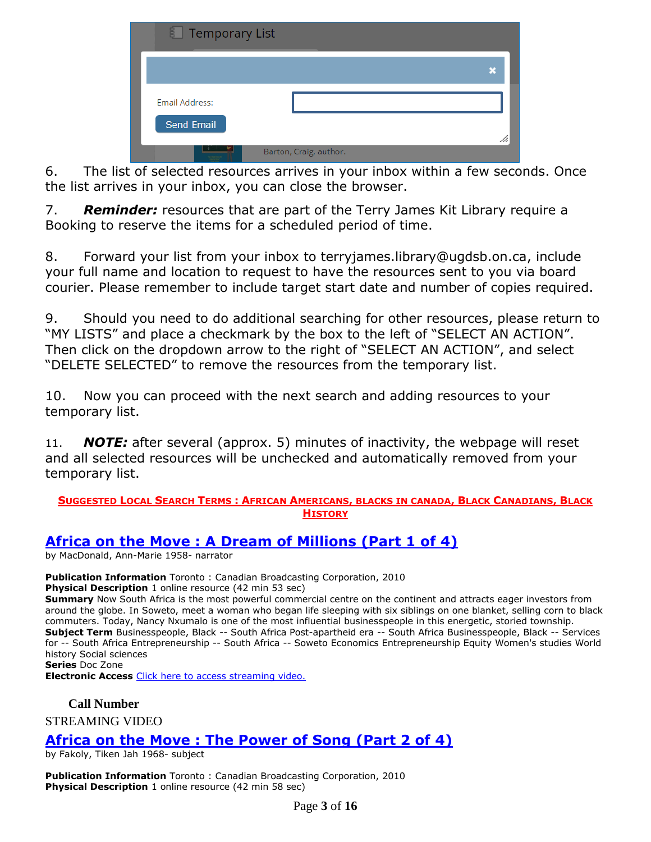| 图 Temporary List             |                        |   |
|------------------------------|------------------------|---|
|                              |                        | × |
| Email Address:<br>Send Email |                        |   |
|                              | Barton, Craig, author. |   |

6. The list of selected resources arrives in your inbox within a few seconds. Once the list arrives in your inbox, you can close the browser.

7. *Reminder:* resources that are part of the Terry James Kit Library require a Booking to reserve the items for a scheduled period of time.

8. Forward your list from your inbox to [terryjames.library@ugdsb.on.ca,](mailto:terryjames.library@ugdsb.on.ca) include your full name and location to request to have the resources sent to you via board courier. Please remember to include target start date and number of copies required.

9. Should you need to do additional searching for other resources, please return to "MY LISTS" and place a checkmark by the box to the left of "SELECT AN ACTION". Then click on the dropdown arrow to the right of "SELECT AN ACTION", and select "DELETE SELECTED" to remove the resources from the temporary list.

10. Now you can proceed with the next search and adding resources to your temporary list.

11. *NOTE:* after several (approx. 5) minutes of inactivity, the webpage will reset and all selected resources will be unchecked and automatically removed from your temporary list.

#### **SUGGESTED LOCAL SEARCH TERMS: AFRICAN AMERICANS, BLACKS IN CANADA, BLACK CANADIANS, BLACK HISTORY**

## **Africa on the Move : A [Dream of Millions \(Part 1 of 4\)](https://ug.ent.sirsidynix.net/client/en_CA/TJR/search/detailnonmodal/ent:$002f$002fSD_ILS$002f0$002fSD_ILS:311163/email?dt=list)**

by MacDonald, Ann-Marie 1958- narrator

**Publication Information** Toronto : Canadian Broadcasting Corporation, 2010 **Physical Description** 1 online resource (42 min 53 sec)

**Summary** Now South Africa is the most powerful commercial centre on the continent and attracts eager investors from around the globe. In Soweto, meet a woman who began life sleeping with six siblings on one blanket, selling corn to black commuters. Today, Nancy Nxumalo is one of the most influential businesspeople in this energetic, storied township. **Subject Term** Businesspeople, Black -- South Africa Post-apartheid era -- South Africa Businesspeople, Black -- Services for -- South Africa Entrepreneurship -- South Africa -- Soweto Economics Entrepreneurship Equity Women's studies World history Social sciences **Series** Doc Zone

**Electronic Access** [Click here to access streaming video.](http://curio.ca/en/video/africa-on-the-move-a-dream-of-millions-part-1-of-4-2792/)

### **Call Number**

STREAMING VIDEO

## **[Africa on the Move : The Power of Song \(Part 2 of 4\)](https://ug.ent.sirsidynix.net/client/en_CA/TJR/search/detailnonmodal/ent:$002f$002fSD_ILS$002f0$002fSD_ILS:311166/email?qu=africa+on+the+move&d=ent%3A%2F%2FSD_ILS%2F0%2FSD_ILS%3A311166%7EILS%7E2&te=ILS)**

by Fakoly, Tiken Jah 1968- subject

**Publication Information** Toronto : Canadian Broadcasting Corporation, 2010 **Physical Description** 1 online resource (42 min 58 sec)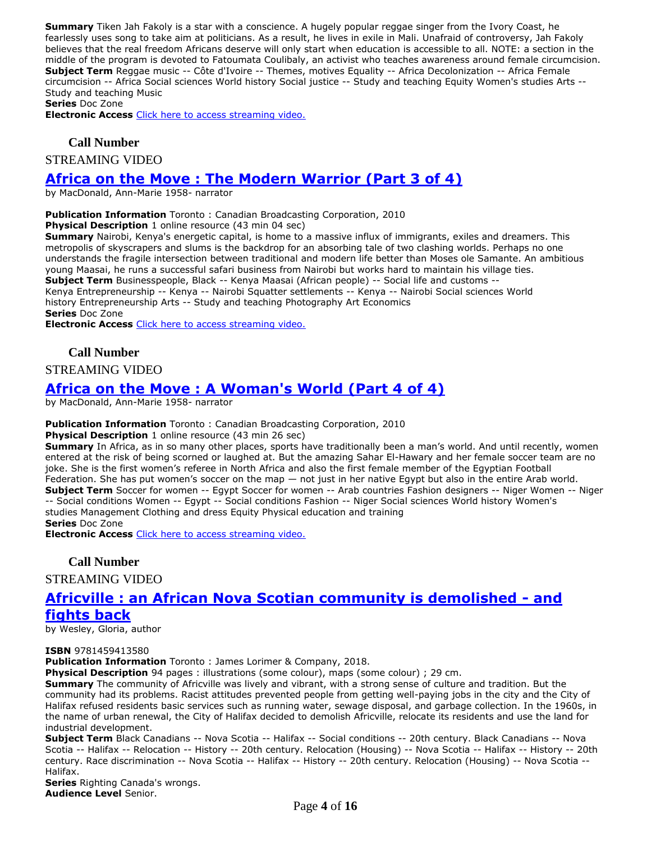**Summary** Tiken Jah Fakoly is a star with a conscience. A hugely popular reggae singer from the Ivory Coast, he fearlessly uses song to take aim at politicians. As a result, he lives in exile in Mali. Unafraid of controversy, Jah Fakoly believes that the real freedom Africans deserve will only start when education is accessible to all. NOTE: a section in the middle of the program is devoted to Fatoumata Coulibaly, an activist who teaches awareness around female circumcision. **Subject Term** Reggae music -- Côte d'Ivoire -- Themes, motives Equality -- Africa Decolonization -- Africa Female circumcision -- Africa Social sciences World history Social justice -- Study and teaching Equity Women's studies Arts -- Study and teaching Music

**Series** Doc Zone

**Electronic Access** [Click here to access streaming video.](http://curio.ca/en/video/africa-on-the-move-the-power-of-song-part-2-of-4-2795/)

#### **Call Number**

STREAMING VIDEO

## **[Africa on the Move : The Modern Warrior \(Part 3 of 4\)](https://ug.ent.sirsidynix.net/client/en_CA/TJR/search/detailnonmodal/ent:$002f$002fSD_ILS$002f0$002fSD_ILS:311165/email?dt=list)**

by MacDonald, Ann-Marie 1958- narrator

**Publication Information** Toronto : Canadian Broadcasting Corporation, 2010

**Physical Description** 1 online resource (43 min 04 sec)

**Summary** Nairobi, Kenya's energetic capital, is home to a massive influx of immigrants, exiles and dreamers. This metropolis of skyscrapers and slums is the backdrop for an absorbing tale of two clashing worlds. Perhaps no one understands the fragile intersection between traditional and modern life better than Moses ole Samante. An ambitious young Maasai, he runs a successful safari business from Nairobi but works hard to maintain his village ties. **Subject Term** Businesspeople, Black -- Kenya Maasai (African people) -- Social life and customs -- Kenya Entrepreneurship -- Kenya -- Nairobi Squatter settlements -- Kenya -- Nairobi Social sciences World

history Entrepreneurship Arts -- Study and teaching Photography Art Economics **Series** Doc Zone

**Electronic Access** [Click here to access streaming video.](http://curio.ca/en/video/africa-on-the-move-the-modern-warrior-part-3-of-4-2794/)

#### **Call Number**

STREAMING VIDEO

## **Africa on the Move : [A Woman's World \(Part 4 of 4\)](https://ug.ent.sirsidynix.net/client/en_CA/TJR/search/detailnonmodal/ent:$002f$002fSD_ILS$002f0$002fSD_ILS:311164/email?qu=africa+on+the+move&d=ent%3A%2F%2FSD_ILS%2F0%2FSD_ILS%3A311164%7EILS%7E1&te=ILS)**

by MacDonald, Ann-Marie 1958- narrator

#### **Publication Information** Toronto : Canadian Broadcasting Corporation, 2010

**Physical Description** 1 online resource (43 min 26 sec)

**Summary** In Africa, as in so many other places, sports have traditionally been a man's world. And until recently, women entered at the risk of being scorned or laughed at. But the amazing Sahar El-Hawary and her female soccer team are no joke. She is the first women's referee in North Africa and also the first female member of the Egyptian Football Federation. She has put women's soccer on the map — not just in her native Egypt but also in the entire Arab world. **Subject Term** Soccer for women -- Egypt Soccer for women -- Arab countries Fashion designers -- Niger Women -- Niger -- Social conditions Women -- Egypt -- Social conditions Fashion -- Niger Social sciences World history Women's studies Management Clothing and dress Equity Physical education and training **Series** Doc Zone

**Electronic Access** [Click here to access streaming video.](http://curio.ca/en/video/africa-on-the-move-a-womans-world-part-4-of-4-2793/)

#### **Call Number**

STREAMING VIDEO

# **[Africville : an African Nova Scotian community is demolished -](https://ug.ent.sirsidynix.net/client/en_CA/TJR/search/detailnonmodal/ent:$002f$002fSD_ILS$002f0$002fSD_ILS:323264/email?dt=list) and**

#### **[fights back](https://ug.ent.sirsidynix.net/client/en_CA/TJR/search/detailnonmodal/ent:$002f$002fSD_ILS$002f0$002fSD_ILS:323264/email?dt=list)**

by Wesley, Gloria, author

#### **ISBN** 9781459413580

**Publication Information** Toronto : James Lorimer & Company, 2018.

**Physical Description** 94 pages : illustrations (some colour), maps (some colour) ; 29 cm.

**Summary** The community of Africville was lively and vibrant, with a strong sense of culture and tradition. But the community had its problems. Racist attitudes prevented people from getting well-paying jobs in the city and the City of Halifax refused residents basic services such as running water, sewage disposal, and garbage collection. In the 1960s, in the name of urban renewal, the City of Halifax decided to demolish Africville, relocate its residents and use the land for industrial development.

**Subject Term** Black Canadians -- Nova Scotia -- Halifax -- Social conditions -- 20th century. Black Canadians -- Nova Scotia -- Halifax -- Relocation -- History -- 20th century. Relocation (Housing) -- Nova Scotia -- Halifax -- History -- 20th century. Race discrimination -- Nova Scotia -- Halifax -- History -- 20th century. Relocation (Housing) -- Nova Scotia -- Halifax.

**Series** Righting Canada's wrongs. **Audience Level** Senior.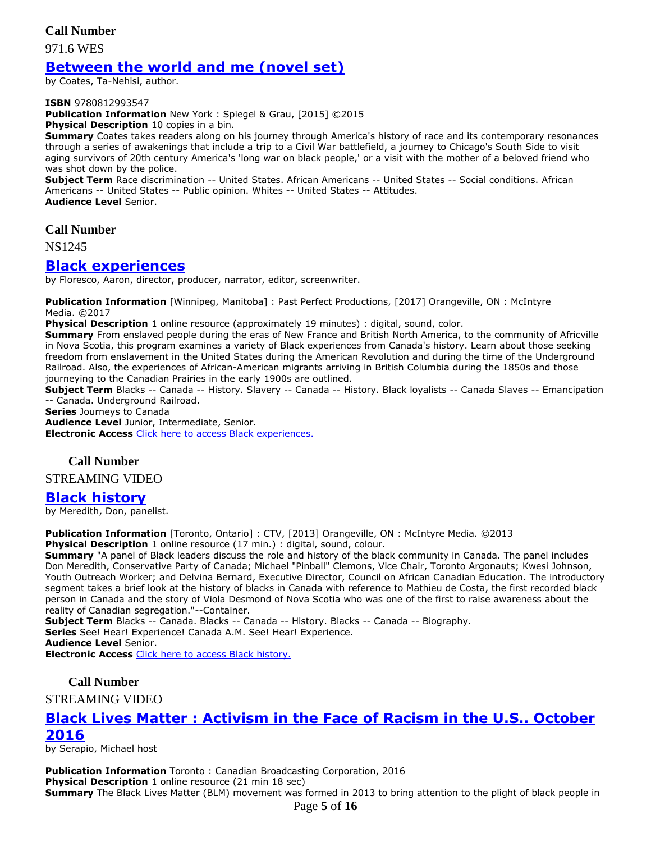**Call Number**

971.6 WES

## **[Between the world and](https://ug.ent.sirsidynix.net/client/en_CA/TJR/search/detailnonmodal/ent:$002f$002fSD_ILS$002f0$002fSD_ILS:324335/email?) me (novel set)**

by Coates, Ta-Nehisi, author.

#### **ISBN** 9780812993547

**Publication Information** New York : Spiegel & Grau, [2015] ©2015

**Physical Description** 10 copies in a bin.

**Summary** Coates takes readers along on his journey through America's history of race and its contemporary resonances through a series of awakenings that include a trip to a Civil War battlefield, a journey to Chicago's South Side to visit aging survivors of 20th century America's 'long war on black people,' or a visit with the mother of a beloved friend who was shot down by the police.

**Subject Term** Race discrimination -- United States. African Americans -- United States -- Social conditions. African Americans -- United States -- Public opinion. Whites -- United States -- Attitudes. **Audience Level** Senior.

**Call Number**

NS1245

#### **[Black experiences](https://ug.ent.sirsidynix.net/client/en_CA/TJR/search/detailnonmodal/ent:$002f$002fSD_ILS$002f0$002fSD_ILS:322017/email?dt=list)**

by Floresco, Aaron, director, producer, narrator, editor, screenwriter.

**Publication Information** [Winnipeg, Manitoba] : Past Perfect Productions, [2017] Orangeville, ON : McIntyre Media. ©2017

**Physical Description** 1 online resource (approximately 19 minutes) : digital, sound, color.

**Summary** From enslaved people during the eras of New France and British North America, to the community of Africville in Nova Scotia, this program examines a variety of Black experiences from Canada's history. Learn about those seeking freedom from enslavement in the United States during the American Revolution and during the time of the Underground Railroad. Also, the experiences of African-American migrants arriving in British Columbia during the 1850s and those journeying to the Canadian Prairies in the early 1900s are outlined.

**Subject Term** Blacks -- Canada -- History. Slavery -- Canada -- History. Black loyalists -- Canada Slaves -- Emancipation -- Canada. Underground Railroad.

**Series** Journeys to Canada

**Audience Level** Junior, Intermediate, Senior.

**Electronic Access** [Click here to access Black experiences.](https://learn360.infobase.com/p_ViewVideo.aspx?customID=52222)

#### **Call Number**

STREAMING VIDEO

### **[Black history](https://ug.ent.sirsidynix.net/client/en_CA/TJR/search/detailnonmodal/ent:$002f$002fSD_ILS$002f0$002fSD_ILS:279088/email?)**

by Meredith, Don, panelist.

**Publication Information** [Toronto, Ontario] : CTV, [2013] Orangeville, ON : McIntyre Media. ©2013 **Physical Description** 1 online resource (17 min.) : digital, sound, colour.

**Summary** "A panel of Black leaders discuss the role and history of the black community in Canada. The panel includes Don Meredith, Conservative Party of Canada; Michael "Pinball" Clemons, Vice Chair, Toronto Argonauts; Kwesi Johnson, Youth Outreach Worker; and Delvina Bernard, Executive Director, Council on African Canadian Education. The introductory segment takes a brief look at the history of blacks in Canada with reference to Mathieu de Costa, the first recorded black person in Canada and the story of Viola Desmond of Nova Scotia who was one of the first to raise awareness about the reality of Canadian segregation."--Container.

**Subject Term** Blacks -- Canada. Blacks -- Canada -- History. Blacks -- Canada -- Biography. **Series** See! Hear! Experience! Canada A.M. See! Hear! Experience.

**Audience Level** Senior.

**Electronic Access** [Click here to access Black history.](http://www.learn360.com/ShowVideo.aspx?ID=1127076)

**Call Number**

STREAMING VIDEO

## **Black Lives Matter : [Activism in the Face of Racism in the U.S.. October](https://ug.ent.sirsidynix.net/client/en_CA/TJR/search/detailnonmodal/ent:$002f$002fSD_ILS$002f0$002fSD_ILS:313013/email?dt=list)  [2016](https://ug.ent.sirsidynix.net/client/en_CA/TJR/search/detailnonmodal/ent:$002f$002fSD_ILS$002f0$002fSD_ILS:313013/email?dt=list)**

by Serapio, Michael host

Page **5** of **16 Publication Information** Toronto : Canadian Broadcasting Corporation, 2016 **Physical Description** 1 online resource (21 min 18 sec) **Summary** The Black Lives Matter (BLM) movement was formed in 2013 to bring attention to the plight of black people in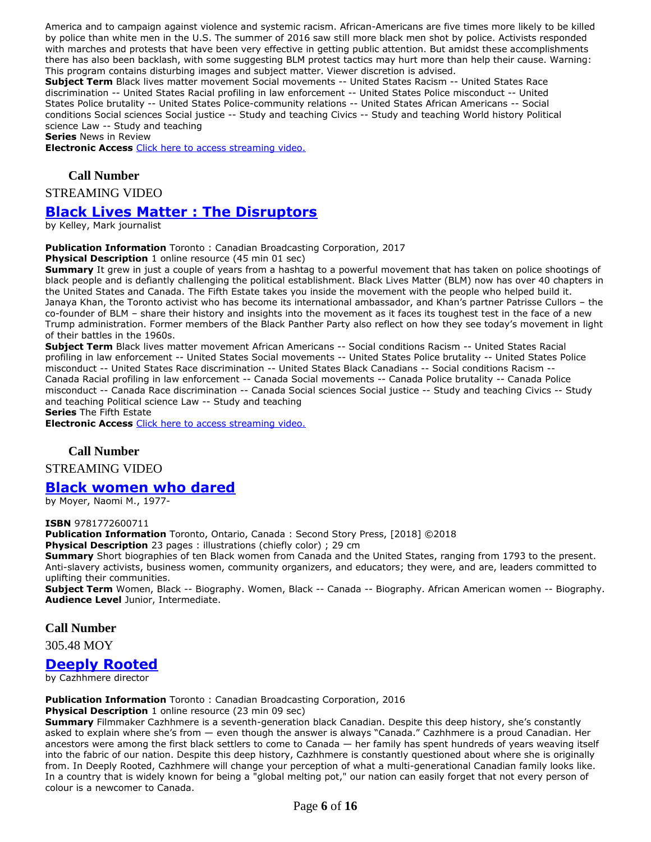America and to campaign against violence and systemic racism. African-Americans are five times more likely to be killed by police than white men in the U.S. The summer of 2016 saw still more black men shot by police. Activists responded with marches and protests that have been very effective in getting public attention. But amidst these accomplishments there has also been backlash, with some suggesting BLM protest tactics may hurt more than help their cause. Warning: This program contains disturbing images and subject matter. Viewer discretion is advised.

**Subject Term** Black lives matter movement Social movements -- United States Racism -- United States Race discrimination -- United States Racial profiling in law enforcement -- United States Police misconduct -- United States Police brutality -- United States Police-community relations -- United States African Americans -- Social conditions Social sciences Social justice -- Study and teaching Civics -- Study and teaching World history Political science Law -- Study and teaching

**Series** News in Review

**Electronic Access** [Click here to access streaming video.](http://curio.ca/en/video/black-lives-matter-activism-in-the-face-of-racism-in-the-us-10914/)

#### **Call Number**

STREAMING VIDEO

### **[Black Lives Matter : The Disruptors](https://ug.ent.sirsidynix.net/client/en_CA/TJR/search/detailnonmodal/ent:$002f$002fSD_ILS$002f0$002fSD_ILS:307133/email?)**

by Kelley, Mark journalist

#### **Publication Information** Toronto : Canadian Broadcasting Corporation, 2017

**Physical Description** 1 online resource (45 min 01 sec)

**Summary** It grew in just a couple of years from a hashtag to a powerful movement that has taken on police shootings of black people and is defiantly challenging the political establishment. Black Lives Matter (BLM) now has over 40 chapters in the United States and Canada. The Fifth Estate takes you inside the movement with the people who helped build it. Janaya Khan, the Toronto activist who has become its international ambassador, and Khan's partner Patrisse Cullors – the co-founder of BLM – share their history and insights into the movement as it faces its toughest test in the face of a new Trump administration. Former members of the Black Panther Party also reflect on how they see today's movement in light of their battles in the 1960s.

**Subject Term** Black lives matter movement African Americans -- Social conditions Racism -- United States Racial profiling in law enforcement -- United States Social movements -- United States Police brutality -- United States Police misconduct -- United States Race discrimination -- United States Black Canadians -- Social conditions Racism -- Canada Racial profiling in law enforcement -- Canada Social movements -- Canada Police brutality -- Canada Police misconduct -- Canada Race discrimination -- Canada Social sciences Social justice -- Study and teaching Civics -- Study and teaching Political science Law -- Study and teaching

**Series** The Fifth Estate

**Electronic Access** [Click here to access streaming video.](http://curio.ca/en/video/black-lives-matter-the-disruptors-15611/)

#### **Call Number**

STREAMING VIDEO

### **[Black women who dared](https://ug.ent.sirsidynix.net/client/en_CA/TJR/search/detailnonmodal/ent:$002f$002fSD_ILS$002f0$002fSD_ILS:323247/email?)**

by Moyer, Naomi M., 1977-

#### **ISBN** 9781772600711

**Publication Information** Toronto, Ontario, Canada : Second Story Press, [2018] ©2018

**Physical Description** 23 pages : illustrations (chiefly color) ; 29 cm

**Summary** Short biographies of ten Black women from Canada and the United States, ranging from 1793 to the present. Anti-slavery activists, business women, community organizers, and educators; they were, and are, leaders committed to uplifting their communities.

**Subject Term** Women, Black -- Biography. Women, Black -- Canada -- Biography. African American women -- Biography. **Audience Level** Junior, Intermediate.

#### **Call Number**

305.48 MOY

#### **[Deeply Rooted](https://ug.ent.sirsidynix.net/client/en_CA/TJR/search/detailnonmodal/ent:$002f$002fSD_ILS$002f0$002fSD_ILS:307681/email?dt=list)**

by Cazhhmere director

**Publication Information** Toronto : Canadian Broadcasting Corporation, 2016

**Physical Description** 1 online resource (23 min 09 sec) **Summary** Filmmaker Cazhhmere is a seventh-generation black Canadian. Despite this deep history, she's constantly asked to explain where she's from — even though the answer is always "Canada." Cazhhmere is a proud Canadian. Her ancestors were among the first black settlers to come to Canada — her family has spent hundreds of years weaving itself into the fabric of our nation. Despite this deep history, Cazhhmere is constantly questioned about where she is originally from. In Deeply Rooted, Cazhhmere will change your perception of what a multi-generational Canadian family looks like. In a country that is widely known for being a "global melting pot," our nation can easily forget that not every person of colour is a newcomer to Canada.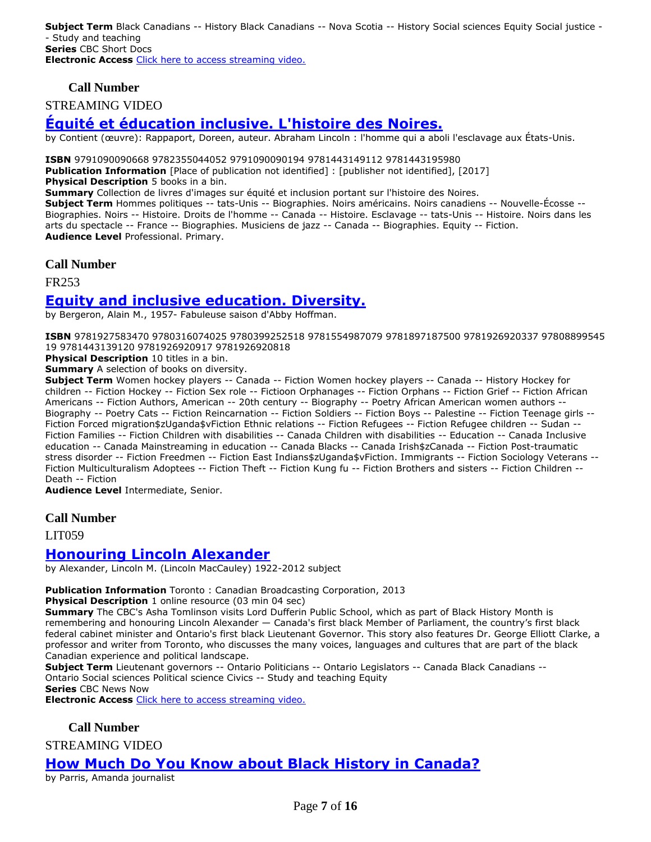**Subject Term** Black Canadians -- History Black Canadians -- Nova Scotia -- History Social sciences Equity Social justice - - Study and teaching **Series** CBC Short Docs **Electronic Access** [Click here to access streaming video.](http://curio.ca/en/video/deeply-rooted-14746/)

**Call Number**

STREAMING VIDEO

## **[Équité et éducation inclusive. L'histoire des Noires.](https://ug.ent.sirsidynix.net/client/en_CA/TJR/search/detailnonmodal/ent:$002f$002fSD_ILS$002f0$002fSD_ILS:301533/email?qu=fr253&d=ent%3A%2F%2FSD_ILS%2F0%2FSD_ILS%3A301533%7E%7E0&te=ILS&lm=MCKITS)**

by Contient (œuvre): Rappaport, Doreen, auteur. Abraham Lincoln : l'homme qui a aboli l'esclavage aux États-Unis.

**ISBN** 9791090090668 9782355044052 9791090090194 9781443149112 9781443195980

**Publication Information** [Place of publication not identified] : [publisher not identified], [2017]

**Physical Description** 5 books in a bin.

**Summary** Collection de livres d'images sur équité et inclusion portant sur l'histoire des Noires.

**Subject Term** Hommes politiques -- tats-Unis -- Biographies. Noirs américains. Noirs canadiens -- Nouvelle-Écosse -- Biographies. Noirs -- Histoire. Droits de l'homme -- Canada -- Histoire. Esclavage -- tats-Unis -- Histoire. Noirs dans les arts du spectacle -- France -- Biographies. Musiciens de jazz -- Canada -- Biographies. Equity -- Fiction. **Audience Level** Professional. Primary.

#### **Call Number**

FR253

## **[Equity and inclusive education. Diversity.](https://ug.ent.sirsidynix.net/client/en_CA/TJR/search/detailnonmodal/ent:$002f$002fSD_ILS$002f0$002fSD_ILS:290194/email?)**

by Bergeron, Alain M., 1957- Fabuleuse saison d'Abby Hoffman.

**ISBN** 9781927583470 9780316074025 9780399252518 9781554987079 9781897187500 9781926920337 97808899545 19 9781443139120 9781926920917 9781926920818

**Physical Description** 10 titles in a bin.

**Summary** A selection of books on diversity.

**Subject Term** Women hockey players -- Canada -- Fiction Women hockey players -- Canada -- History Hockey for children -- Fiction Hockey -- Fiction Sex role -- Fictioon Orphanages -- Fiction Orphans -- Fiction Grief -- Fiction African Americans -- Fiction Authors, American -- 20th century -- Biography -- Poetry African American women authors -- Biography -- Poetry Cats -- Fiction Reincarnation -- Fiction Soldiers -- Fiction Boys -- Palestine -- Fiction Teenage girls -- Fiction Forced migration\$zUganda\$vFiction Ethnic relations -- Fiction Refugees -- Fiction Refugee children -- Sudan -- Fiction Families -- Fiction Children with disabilities -- Canada Children with disabilities -- Education -- Canada Inclusive education -- Canada Mainstreaming in education -- Canada Blacks -- Canada Irish\$zCanada -- Fiction Post-traumatic stress disorder -- Fiction Freedmen -- Fiction East Indians \$zUganda \$vFiction. Immigrants -- Fiction Sociology Veterans --Fiction Multiculturalism Adoptees -- Fiction Theft -- Fiction Kung fu -- Fiction Brothers and sisters -- Fiction Children -- Death -- Fiction

**Audience Level** Intermediate, Senior.

#### **Call Number**

LIT059

### **[Honouring Lincoln Alexander](https://ug.ent.sirsidynix.net/client/en_CA/TJR/search/detailnonmodal/ent:$002f$002fSD_ILS$002f0$002fSD_ILS:310006/email?dt=list)**

by Alexander, Lincoln M. (Lincoln MacCauley) 1922-2012 subject

#### **Publication Information** Toronto : Canadian Broadcasting Corporation, 2013

**Physical Description** 1 online resource (03 min 04 sec)

**Summary** The CBC's Asha Tomlinson visits Lord Dufferin Public School, which as part of Black History Month is remembering and honouring Lincoln Alexander — Canada's first black Member of Parliament, the country's first black federal cabinet minister and Ontario's first black Lieutenant Governor. This story also features Dr. George Elliott Clarke, a professor and writer from Toronto, who discusses the many voices, languages and cultures that are part of the black Canadian experience and political landscape.

**Subject Term** Lieutenant governors -- Ontario Politicians -- Ontario Legislators -- Canada Black Canadians -- Ontario Social sciences Political science Civics -- Study and teaching Equity

**Series** CBC News Now

**Electronic Access** [Click here to access streaming video.](http://curio.ca/en/video/honouring-lincoln-alexander-3387/)

## **Call Number**

STREAMING VIDEO

## **[How Much Do You Know about Black History in Canada?](https://ug.ent.sirsidynix.net/client/en_CA/TJR/search/detailnonmodal/ent:$002f$002fSD_ILS$002f0$002fSD_ILS:307135/email?dt=list)**

by Parris, Amanda journalist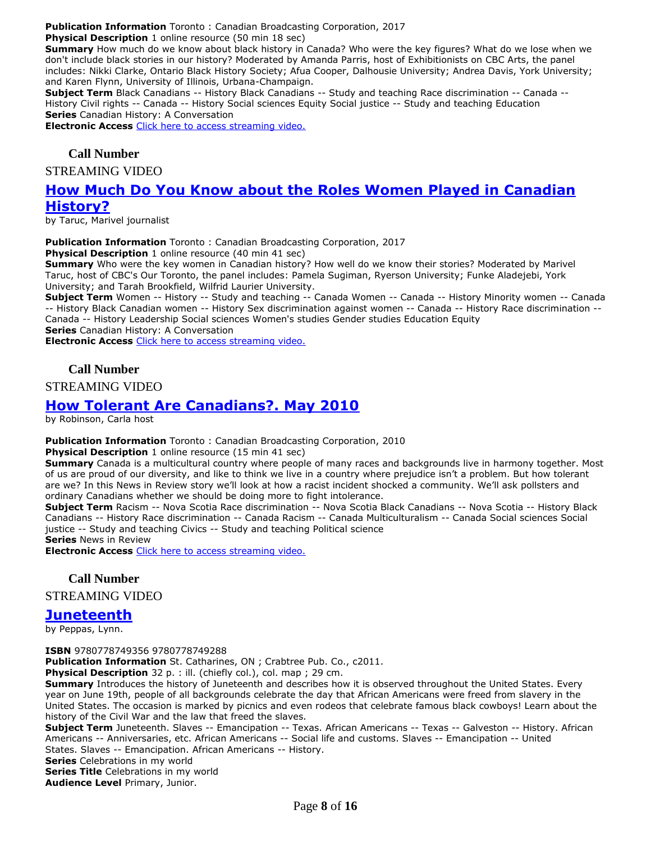**Publication Information** Toronto : Canadian Broadcasting Corporation, 2017

**Physical Description** 1 online resource (50 min 18 sec)

**Summary** How much do we know about black history in Canada? Who were the key figures? What do we lose when we don't include black stories in our history? Moderated by Amanda Parris, host of Exhibitionists on CBC Arts, the panel includes: Nikki Clarke, Ontario Black History Society; Afua Cooper, Dalhousie University; Andrea Davis, York University; and Karen Flynn, University of Illinois, Urbana-Champaign.

**Subject Term** Black Canadians -- History Black Canadians -- Study and teaching Race discrimination -- Canada -- History Civil rights -- Canada -- History Social sciences Equity Social justice -- Study and teaching Education **Series** Canadian History: A Conversation

**Electronic Access** [Click here to access streaming video.](http://curio.ca/en/video/how-much-do-you-know-about-black-history-in-canada-15292/)

#### **Call Number**

STREAMING VIDEO

## **[How Much Do You Know about the Roles Women Played in Canadian](https://ug.ent.sirsidynix.net/client/en_CA/TJR/search/detailnonmodal/ent:$002f$002fSD_ILS$002f0$002fSD_ILS:307166/email?dt=list)  [History?](https://ug.ent.sirsidynix.net/client/en_CA/TJR/search/detailnonmodal/ent:$002f$002fSD_ILS$002f0$002fSD_ILS:307166/email?dt=list)**

by Taruc, Marivel journalist

**Publication Information** Toronto : Canadian Broadcasting Corporation, 2017

**Physical Description** 1 online resource (40 min 41 sec)

**Summary** Who were the key women in Canadian history? How well do we know their stories? Moderated by Marivel Taruc, host of CBC's Our Toronto, the panel includes: Pamela Sugiman, Ryerson University; Funke Aladejebi, York University; and Tarah Brookfield, Wilfrid Laurier University.

**Subject Term** Women -- History -- Study and teaching -- Canada Women -- Canada -- History Minority women -- Canada -- History Black Canadian women -- History Sex discrimination against women -- Canada -- History Race discrimination -- Canada -- History Leadership Social sciences Women's studies Gender studies Education Equity **Series** Canadian History: A Conversation

**Electronic Access** [Click here to access streaming video.](http://curio.ca/en/video/how-much-do-you-know-about-the-roles-women-played-in-canadian-history-15291/)

#### **Call Number**

STREAMING VIDEO

## **[How Tolerant Are Canadians?. May 2010](https://ug.ent.sirsidynix.net/client/en_CA/TJR/search/detailnonmodal/ent:$002f$002fSD_ILS$002f0$002fSD_ILS:313581/email?dt=list)**

by Robinson, Carla host

**Publication Information** Toronto : Canadian Broadcasting Corporation, 2010

**Physical Description** 1 online resource (15 min 41 sec)

**Summary** Canada is a multicultural country where people of many races and backgrounds live in harmony together. Most of us are proud of our diversity, and like to think we live in a country where prejudice isn't a problem. But how tolerant are we? In this News in Review story we'll look at how a racist incident shocked a community. We'll ask pollsters and ordinary Canadians whether we should be doing more to fight intolerance.

**Subject Term** Racism -- Nova Scotia Race discrimination -- Nova Scotia Black Canadians -- Nova Scotia -- History Black Canadians -- History Race discrimination -- Canada Racism -- Canada Multiculturalism -- Canada Social sciences Social justice -- Study and teaching Civics -- Study and teaching Political science **Series** News in Review

**Electronic Access** [Click here to access streaming video.](http://curio.ca/en/video/how-tolerant-are-canadians-1828/)

#### **Call Number**

STREAMING VIDEO

#### **[Juneteenth](https://ug.ent.sirsidynix.net/client/en_CA/TJR/search/detailnonmodal/ent:$002f$002fSD_ILS$002f0$002fSD_ILS:230149/email?)**

by Peppas, Lynn.

**ISBN** 9780778749356 9780778749288

**Publication Information** St. Catharines, ON ; Crabtree Pub. Co., c2011.

Physical Description 32 p. : ill. (chiefly col.), col. map ; 29 cm.

**Summary** Introduces the history of Juneteenth and describes how it is observed throughout the United States. Every year on June 19th, people of all backgrounds celebrate the day that African Americans were freed from slavery in the United States. The occasion is marked by picnics and even rodeos that celebrate famous black cowboys! Learn about the history of the Civil War and the law that freed the slaves.

**Subject Term** Juneteenth. Slaves -- Emancipation -- Texas. African Americans -- Texas -- Galveston -- History. African Americans -- Anniversaries, etc. African Americans -- Social life and customs. Slaves -- Emancipation -- United States. Slaves -- Emancipation. African Americans -- History.

**Series** Celebrations in my world

**Series Title** Celebrations in my world **Audience Level** Primary, Junior.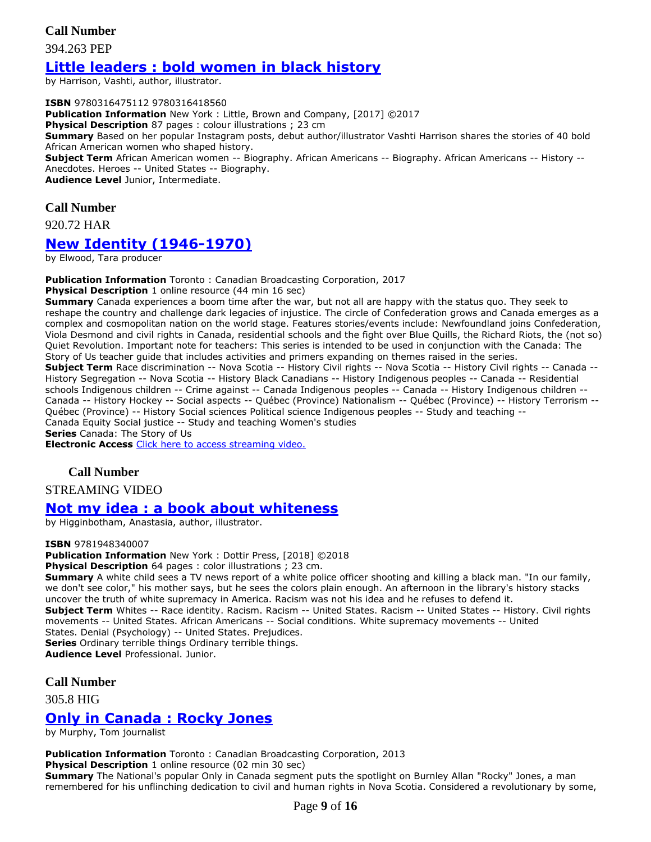#### **Call Number**

394.263 PEP

## **[Little leaders : bold women in black history](https://ug.ent.sirsidynix.net/client/en_CA/TJR/search/detailnonmodal/ent:$002f$002fSD_ILS$002f0$002fSD_ILS:316177/email?)**

by Harrison, Vashti, author, illustrator.

**ISBN** 9780316475112 9780316418560 **Publication Information** New York : Little, Brown and Company, [2017] ©2017 **Physical Description** 87 pages : colour illustrations ; 23 cm **Summary** Based on her popular Instagram posts, debut author/illustrator Vashti Harrison shares the stories of 40 bold African American women who shaped history. **Subject Term** African American women -- Biography. African Americans -- Biography. African Americans -- History -- Anecdotes. Heroes -- United States -- Biography. **Audience Level** Junior, Intermediate.

#### **Call Number**

920.72 HAR

## **[New Identity \(1946-1970\)](https://ug.ent.sirsidynix.net/client/en_CA/TJR/search/detailnonmodal/ent:$002f$002fSD_ILS$002f0$002fSD_ILS:307163/email?dt=list)**

by Elwood, Tara producer

**Publication Information** Toronto : Canadian Broadcasting Corporation, 2017

**Physical Description** 1 online resource (44 min 16 sec)

**Summary** Canada experiences a boom time after the war, but not all are happy with the status quo. They seek to reshape the country and challenge dark legacies of injustice. The circle of Confederation grows and Canada emerges as a complex and cosmopolitan nation on the world stage. Features stories/events include: Newfoundland joins Confederation, Viola Desmond and civil rights in Canada, residential schools and the fight over Blue Quills, the Richard Riots, the (not so) Quiet Revolution. Important note for teachers: This series is intended to be used in conjunction with the Canada: The Story of Us teacher guide that includes activities and primers expanding on themes raised in the series. **Subject Term** Race discrimination -- Nova Scotia -- History Civil rights -- Nova Scotia -- History Civil rights -- Canada -- History Segregation -- Nova Scotia -- History Black Canadians -- History Indigenous peoples -- Canada -- Residential schools Indigenous children -- Crime against -- Canada Indigenous peoples -- Canada -- History Indigenous children -- Canada -- History Hockey -- Social aspects -- Québec (Province) Nationalism -- Québec (Province) -- History Terrorism -- Québec (Province) -- History Social sciences Political science Indigenous peoples -- Study and teaching -- Canada Equity Social justice -- Study and teaching Women's studies **Series** Canada: The Story of Us

**Electronic Access** [Click here to access streaming video.](http://curio.ca/en/video/new-identity-1946-1970-15268/)

#### **Call Number**

STREAMING VIDEO

#### **[Not my idea : a book about whiteness](https://ug.ent.sirsidynix.net/client/en_CA/TJR/search/detailnonmodal/ent:$002f$002fSD_ILS$002f0$002fSD_ILS:324422/email?)**

by Higginbotham, Anastasia, author, illustrator.

#### **ISBN** 9781948340007

**Publication Information** New York : Dottir Press, [2018] ©2018

**Physical Description** 64 pages : color illustrations ; 23 cm.

Summary A white child sees a TV news report of a white police officer shooting and killing a black man. "In our family, we don't see color," his mother says, but he sees the colors plain enough. An afternoon in the library's history stacks uncover the truth of white supremacy in America. Racism was not his idea and he refuses to defend it. **Subject Term** Whites -- Race identity. Racism. Racism -- United States. Racism -- United States -- History. Civil rights movements -- United States. African Americans -- Social conditions. White supremacy movements -- United States. Denial (Psychology) -- United States. Prejudices. **Series** Ordinary terrible things Ordinary terrible things.

**Audience Level** Professional. Junior.

#### **Call Number**

305.8 HIG

### **[Only in Canada : Rocky Jones](https://ug.ent.sirsidynix.net/client/en_CA/TJR/search/detailnonmodal/ent:$002f$002fSD_ILS$002f0$002fSD_ILS:309981/email?dt=list)**

by Murphy, Tom journalist

**Publication Information** Toronto : Canadian Broadcasting Corporation, 2013 **Physical Description** 1 online resource (02 min 30 sec) **Summary** The National's popular Only in Canada segment puts the spotlight on Burnley Allan "Rocky" Jones, a man remembered for his unflinching dedication to civil and human rights in Nova Scotia. Considered a revolutionary by some,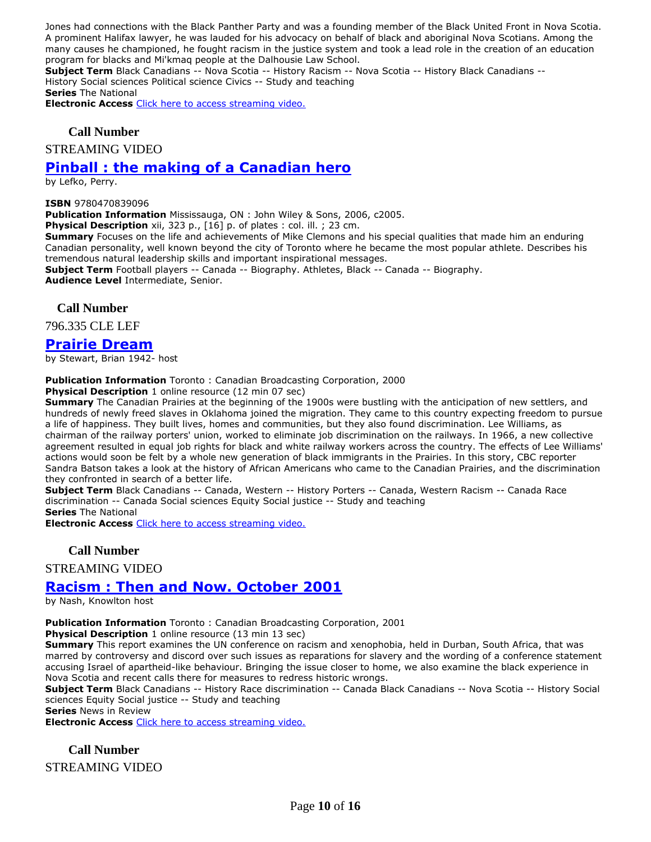Jones had connections with the Black Panther Party and was a founding member of the Black United Front in Nova Scotia. A prominent Halifax lawyer, he was lauded for his advocacy on behalf of black and aboriginal Nova Scotians. Among the many causes he championed, he fought racism in the justice system and took a lead role in the creation of an education program for blacks and Mi'kmaq people at the Dalhousie Law School.

**Subject Term** Black Canadians -- Nova Scotia -- History Racism -- Nova Scotia -- History Black Canadians -- History Social sciences Political science Civics -- Study and teaching

**Series** The National

**Electronic Access** [Click here to access streaming video.](http://curio.ca/en/video/only-in-canada-rocky-jones-3388/)

#### **Call Number**

STREAMING VIDEO

## **[Pinball : the making of a Canadian hero](https://ug.ent.sirsidynix.net/client/en_CA/TJR/search/detailnonmodal/ent:$002f$002fSD_ILS$002f0$002fSD_ILS:182631/email?)**

by Lefko, Perry.

#### **ISBN** 9780470839096

**Publication Information** Mississauga, ON : John Wiley & Sons, 2006, c2005.

**Physical Description** xii, 323 p., [16] p. of plates : col. ill. ; 23 cm.

**Summary** Focuses on the life and achievements of Mike Clemons and his special qualities that made him an enduring Canadian personality, well known beyond the city of Toronto where he became the most popular athlete. Describes his tremendous natural leadership skills and important inspirational messages.

**Subject Term** Football players -- Canada -- Biography. Athletes, Black -- Canada -- Biography. **Audience Level** Intermediate, Senior.

#### **Call Number**

796.335 CLE LEF

### **[Prairie Dream](https://ug.ent.sirsidynix.net/client/en_CA/TJR/search/detailnonmodal/ent:$002f$002fSD_ILS$002f0$002fSD_ILS:312360/email?dt=list)**

by Stewart, Brian 1942- host

#### **Publication Information** Toronto : Canadian Broadcasting Corporation, 2000

**Physical Description** 1 online resource (12 min 07 sec)

**Summary** The Canadian Prairies at the beginning of the 1900s were bustling with the anticipation of new settlers, and hundreds of newly freed slaves in Oklahoma joined the migration. They came to this country expecting freedom to pursue a life of happiness. They built lives, homes and communities, but they also found discrimination. Lee Williams, as chairman of the railway porters' union, worked to eliminate job discrimination on the railways. In 1966, a new collective agreement resulted in equal job rights for black and white railway workers across the country. The effects of Lee Williams' actions would soon be felt by a whole new generation of black immigrants in the Prairies. In this story, CBC reporter Sandra Batson takes a look at the history of African Americans who came to the Canadian Prairies, and the discrimination they confronted in search of a better life.

**Subject Term** Black Canadians -- Canada, Western -- History Porters -- Canada, Western Racism -- Canada Race discrimination -- Canada Social sciences Equity Social justice -- Study and teaching

**Series** The National

**Electronic Access** [Click here to access streaming video.](http://curio.ca/en/video/prairie-dream-643/)

**Call Number**

STREAMING VIDEO

### **[Racism : Then and Now. October 2001](https://ug.ent.sirsidynix.net/client/en_CA/TJR/search/detailnonmodal/ent:$002f$002fSD_ILS$002f0$002fSD_ILS:314064/email?dt=list)**

by Nash, Knowlton host

**Publication Information** Toronto : Canadian Broadcasting Corporation, 2001

**Physical Description** 1 online resource (13 min 13 sec)

**Summary** This report examines the UN conference on racism and xenophobia, held in Durban, South Africa, that was marred by controversy and discord over such issues as reparations for slavery and the wording of a conference statement accusing Israel of apartheid-like behaviour. Bringing the issue closer to home, we also examine the black experience in Nova Scotia and recent calls there for measures to redress historic wrongs.

**Subject Term** Black Canadians -- History Race discrimination -- Canada Black Canadians -- Nova Scotia -- History Social sciences Equity Social justice -- Study and teaching

**Series** News in Review

**Electronic Access** [Click here to access streaming video.](http://curio.ca/en/video/racism-then-and-now-2161/)

**Call Number** STREAMING VIDEO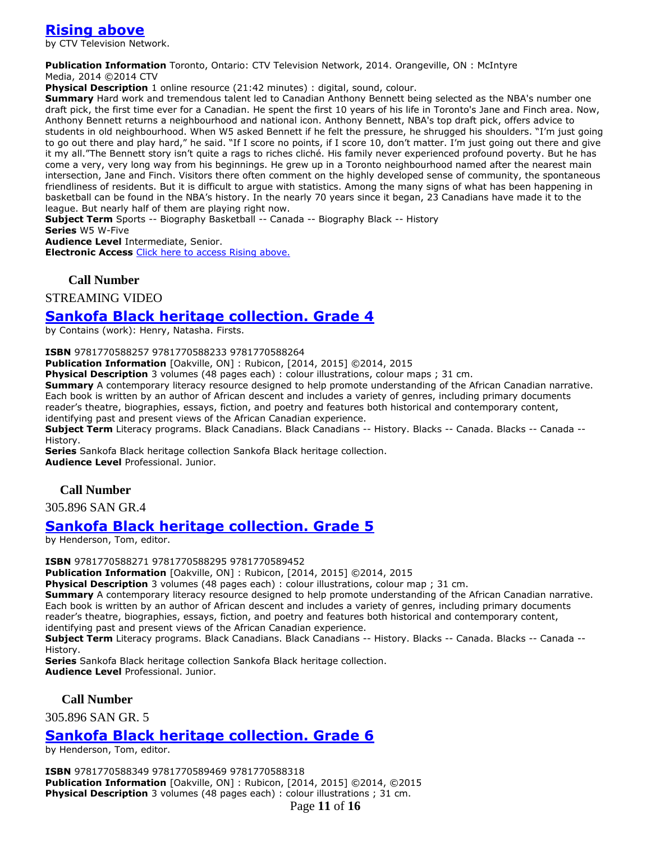## **[Rising above](https://ug.ent.sirsidynix.net/client/en_CA/TJR/search/detailnonmodal/ent:$002f$002fSD_ILS$002f0$002fSD_ILS:286347/email?dt=list)**

by CTV Television Network.

**Publication Information** Toronto, Ontario: CTV Television Network, 2014. Orangeville, ON : McIntyre Media, 2014 ©2014 CTV

**Physical Description** 1 online resource (21:42 minutes) : digital, sound, colour.

**Summary** Hard work and tremendous talent led to Canadian Anthony Bennett being selected as the NBA's number one draft pick, the first time ever for a Canadian. He spent the first 10 years of his life in Toronto's Jane and Finch area. Now, Anthony Bennett returns a neighbourhood and national icon. Anthony Bennett, NBA's top draft pick, offers advice to students in old neighbourhood. When W5 asked Bennett if he felt the pressure, he shrugged his shoulders. "I'm just going to go out there and play hard," he said. "If I score no points, if I score 10, don't matter. I'm just going out there and give it my all."The Bennett story isn't quite a rags to riches cliché. His family never experienced profound poverty. But he has come a very, very long way from his beginnings. He grew up in a Toronto neighbourhood named after the nearest main intersection, Jane and Finch. Visitors there often comment on the highly developed sense of community, the spontaneous friendliness of residents. But it is difficult to argue with statistics. Among the many signs of what has been happening in basketball can be found in the NBA's history. In the nearly 70 years since it began, 23 Canadians have made it to the league. But nearly half of them are playing right now.

**Subject Term** Sports -- Biography Basketball -- Canada -- Biography Black -- History

**Series** W5 W-Five

**Audience Level** Intermediate, Senior.

**Electronic Access** [Click here to access Rising above.](http://www.learn360.com/ShowVideo.aspx?ID=1225836)

#### **Call Number**

STREAMING VIDEO

#### **[Sankofa Black heritage collection. Grade 4](https://ug.ent.sirsidynix.net/client/en_CA/TJR/search/detailnonmodal/ent:$002f$002fSD_ILS$002f0$002fSD_ILS:293597/email?dt=list)**

by Contains (work): Henry, Natasha. Firsts.

**ISBN** 9781770588257 9781770588233 9781770588264

**Publication Information** [Oakville, ON] : Rubicon, [2014, 2015] ©2014, 2015

**Physical Description** 3 volumes (48 pages each) : colour illustrations, colour maps ; 31 cm.

**Summary** A contemporary literacy resource designed to help promote understanding of the African Canadian narrative. Each book is written by an author of African descent and includes a variety of genres, including primary documents reader's theatre, biographies, essays, fiction, and poetry and features both historical and contemporary content, identifying past and present views of the African Canadian experience.

**Subject Term** Literacy programs. Black Canadians. Black Canadians -- History. Blacks -- Canada. Blacks -- Canada -- History.

**Series** Sankofa Black heritage collection Sankofa Black heritage collection. **Audience Level** Professional. Junior.

#### **Call Number**

305.896 SAN GR.4

#### **Sankofa [Black heritage collection. Grade 5](https://ug.ent.sirsidynix.net/client/en_CA/TJR/search/detailnonmodal/ent:$002f$002fSD_ILS$002f0$002fSD_ILS:293598/email?dt=list)**

by Henderson, Tom, editor.

**ISBN** 9781770588271 9781770588295 9781770589452

**Publication Information** [Oakville, ON] : Rubicon, [2014, 2015] ©2014, 2015

**Physical Description** 3 volumes (48 pages each) : colour illustrations, colour map ; 31 cm.

**Summary** A contemporary literacy resource designed to help promote understanding of the African Canadian narrative. Each book is written by an author of African descent and includes a variety of genres, including primary documents reader's theatre, biographies, essays, fiction, and poetry and features both historical and contemporary content, identifying past and present views of the African Canadian experience.

**Subject Term** Literacy programs. Black Canadians. Black Canadians -- History. Blacks -- Canada. Blacks -- Canada -- History.

**Series** Sankofa Black heritage collection Sankofa Black heritage collection. **Audience Level** Professional. Junior.

**Call Number**

305.896 SAN GR. 5

## **[Sankofa Black heritage collection. Grade 6](https://ug.ent.sirsidynix.net/client/en_CA/TJR/search/detailnonmodal/ent:$002f$002fSD_ILS$002f0$002fSD_ILS:293603/email?dt=list)**

by Henderson, Tom, editor.

**ISBN** 9781770588349 9781770589469 9781770588318 **Publication Information** [Oakville, ON] : Rubicon, [2014, 2015] ©2014, ©2015 **Physical Description** 3 volumes (48 pages each) : colour illustrations ; 31 cm.

Page **11** of **16**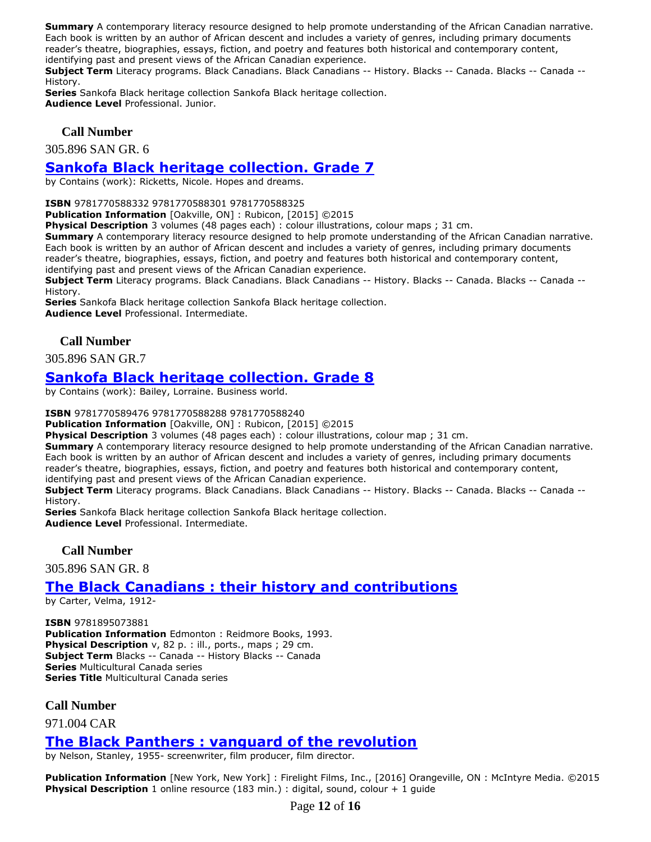**Summary** A contemporary literacy resource designed to help promote understanding of the African Canadian narrative. Each book is written by an author of African descent and includes a variety of genres, including primary documents reader's theatre, biographies, essays, fiction, and poetry and features both historical and contemporary content, identifying past and present views of the African Canadian experience.

**Subject Term** Literacy programs. Black Canadians. Black Canadians -- History. Blacks -- Canada. Blacks -- Canada -- History.

**Series** Sankofa Black heritage collection Sankofa Black heritage collection. **Audience Level** Professional. Junior.

#### **Call Number**

305.896 SAN GR. 6

## **[Sankofa Black heritage collection. Grade 7](https://ug.ent.sirsidynix.net/client/en_CA/TJR/search/detailnonmodal/ent:$002f$002fSD_ILS$002f0$002fSD_ILS:293558/email?dt=list)**

by Contains (work): Ricketts, Nicole. Hopes and dreams.

**ISBN** 9781770588332 9781770588301 9781770588325

**Publication Information** [Oakville, ON] : Rubicon, [2015] ©2015

**Physical Description** 3 volumes (48 pages each) : colour illustrations, colour maps ; 31 cm.

**Summary** A contemporary literacy resource designed to help promote understanding of the African Canadian narrative. Each book is written by an author of African descent and includes a variety of genres, including primary documents reader's theatre, biographies, essays, fiction, and poetry and features both historical and contemporary content, identifying past and present views of the African Canadian experience.

**Subject Term** Literacy programs. Black Canadians. Black Canadians -- History. Blacks -- Canada. Blacks -- Canada -- History.

**Series** Sankofa Black heritage collection Sankofa Black heritage collection. **Audience Level** Professional. Intermediate.

#### **Call Number**

305.896 SAN GR.7

## **[Sankofa Black heritage collection. Grade 8](https://ug.ent.sirsidynix.net/client/en_CA/TJR/search/detailnonmodal/ent:$002f$002fSD_ILS$002f0$002fSD_ILS:293599/email?dt=list)**

by Contains (work): Bailey, Lorraine. Business world.

**ISBN** 9781770589476 9781770588288 9781770588240

**Publication Information** [Oakville, ON] : Rubicon, [2015] ©2015

**Physical Description** 3 volumes (48 pages each) : colour illustrations, colour map ; 31 cm.

**Summary** A contemporary literacy resource designed to help promote understanding of the African Canadian narrative. Each book is written by an author of African descent and includes a variety of genres, including primary documents reader's theatre, biographies, essays, fiction, and poetry and features both historical and contemporary content, identifying past and present views of the African Canadian experience.

**Subject Term** Literacy programs. Black Canadians. Black Canadians -- History. Blacks -- Canada. Blacks -- Canada -- History.

**Series** Sankofa Black heritage collection Sankofa Black heritage collection. **Audience Level** Professional. Intermediate.

**Call Number**

305.896 SAN GR. 8

## **[The Black Canadians : their history and contributions](https://ug.ent.sirsidynix.net/client/en_CA/TJR/search/detailnonmodal/ent:$002f$002fSD_ILS$002f0$002fSD_ILS:29837/email?)**

by Carter, Velma, 1912-

**ISBN** 9781895073881 **Publication Information** Edmonton : Reidmore Books, 1993. **Physical Description** v, 82 p. : ill., ports., maps ; 29 cm. **Subject Term** Blacks -- Canada -- History Blacks -- Canada **Series** Multicultural Canada series **Series Title** Multicultural Canada series

#### **Call Number**

971.004 CAR

### **[The Black Panthers : vanguard of the revolution](https://ug.ent.sirsidynix.net/client/en_CA/TJR/search/detailnonmodal/ent:$002f$002fSD_ILS$002f0$002fSD_ILS:306849/email?dt=list)**

by Nelson, Stanley, 1955- screenwriter, film producer, film director.

**Publication Information** [New York, New York] : Firelight Films, Inc., [2016] Orangeville, ON : McIntyre Media. ©2015 **Physical Description** 1 online resource (183 min.) : digital, sound, colour + 1 guide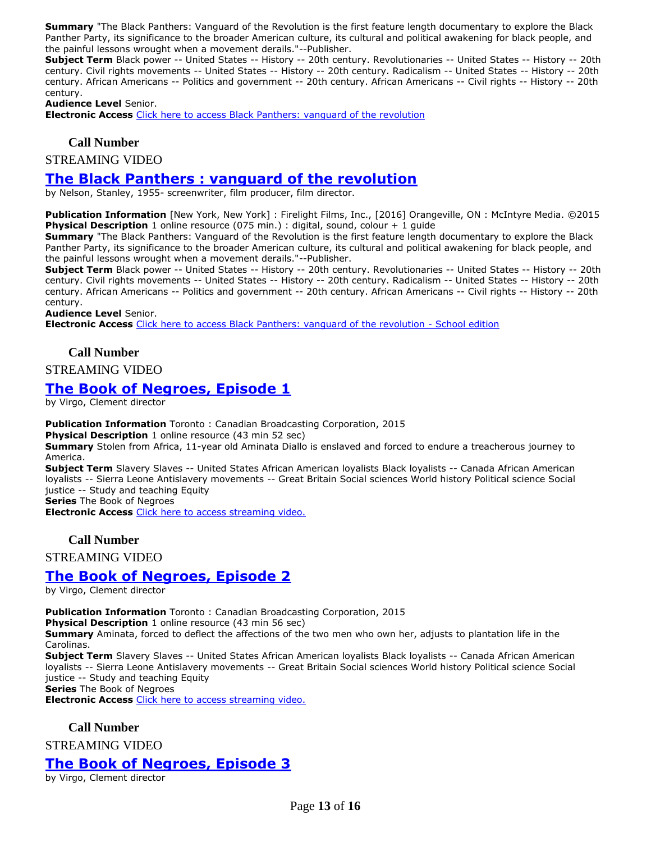**Summary** "The Black Panthers: Vanguard of the Revolution is the first feature length documentary to explore the Black Panther Party, its significance to the broader American culture, its cultural and political awakening for black people, and the painful lessons wrought when a movement derails."--Publisher.

**Subject Term** Black power -- United States -- History -- 20th century. Revolutionaries -- United States -- History -- 20th century. Civil rights movements -- United States -- History -- 20th century. Radicalism -- United States -- History -- 20th century. African Americans -- Politics and government -- 20th century. African Americans -- Civil rights -- History -- 20th century.

**Audience Level** Senior.

**Electronic Access** [Click here to access Black Panthers: vanguard of the revolution](https://learn360.infobase.com/p_ViewVideo.aspx?customID=51550)

#### **Call Number**

STREAMING VIDEO

#### **[The Black Panthers : vanguard of the revolution](https://ug.ent.sirsidynix.net/client/en_CA/TJR/search/detailnonmodal/ent:$002f$002fSD_ILS$002f0$002fSD_ILS:306850/email?dt=list)**

by Nelson, Stanley, 1955- screenwriter, film producer, film director.

**Publication Information** [New York, New York] : Firelight Films, Inc., [2016] Orangeville, ON : McIntyre Media. ©2015 **Physical Description** 1 online resource (075 min.) : digital, sound, colour + 1 guide

**Summary** "The Black Panthers: Vanguard of the Revolution is the first feature length documentary to explore the Black Panther Party, its significance to the broader American culture, its cultural and political awakening for black people, and the painful lessons wrought when a movement derails."--Publisher.

**Subject Term** Black power -- United States -- History -- 20th century. Revolutionaries -- United States -- History -- 20th century. Civil rights movements -- United States -- History -- 20th century. Radicalism -- United States -- History -- 20th century. African Americans -- Politics and government -- 20th century. African Americans -- Civil rights -- History -- 20th century.

**Audience Level** Senior.

**Electronic Access** [Click here to access Black Panthers: vanguard of the revolution -](https://learn360.infobase.com/p_ViewVideo.aspx?customID=51554) School edition

#### **Call Number**

#### STREAMING VIDEO

### **[The Book of Negroes, Episode 1](https://ug.ent.sirsidynix.net/client/en_CA/TJR/search/detailnonmodal/ent:$002f$002fSD_ILS$002f0$002fSD_ILS:308579/email?dt=list)**

by Virgo, Clement director

**Publication Information** Toronto : Canadian Broadcasting Corporation, 2015

**Physical Description** 1 online resource (43 min 52 sec)

**Summary** Stolen from Africa, 11-year old Aminata Diallo is enslaved and forced to endure a treacherous journey to America.

**Subject Term** Slavery Slaves -- United States African American loyalists Black loyalists -- Canada African American loyalists -- Sierra Leone Antislavery movements -- Great Britain Social sciences World history Political science Social justice -- Study and teaching Equity

**Series** The Book of Negroes

**Electronic Access** [Click here to access streaming video.](http://curio.ca/en/video/the-book-of-negroes-episode-1-5191/)

#### **Call Number**

STREAMING VIDEO

### **[The Book of Negroes, Episode 2](https://ug.ent.sirsidynix.net/client/en_CA/TJR/search/detailnonmodal/ent:$002f$002fSD_ILS$002f0$002fSD_ILS:308714/email?dt=list)**

by Virgo, Clement director

**Publication Information** Toronto : Canadian Broadcasting Corporation, 2015

**Physical Description** 1 online resource (43 min 56 sec)

**Summary** Aminata, forced to deflect the affections of the two men who own her, adjusts to plantation life in the Carolinas.

**Subject Term** Slavery Slaves -- United States African American loyalists Black loyalists -- Canada African American loyalists -- Sierra Leone Antislavery movements -- Great Britain Social sciences World history Political science Social justice -- Study and teaching Equity

**Series** The Book of Negroes

**Electronic Access** [Click here to access streaming video.](http://curio.ca/en/video/the-book-of-negroes-episode-2-5192/)

**Call Number**

STREAMING VIDEO

## **[The Book of Negroes, Episode 3](https://ug.ent.sirsidynix.net/client/en_CA/TJR/search/detailnonmodal/ent:$002f$002fSD_ILS$002f0$002fSD_ILS:308715/email?dt=list)**

by Virgo, Clement director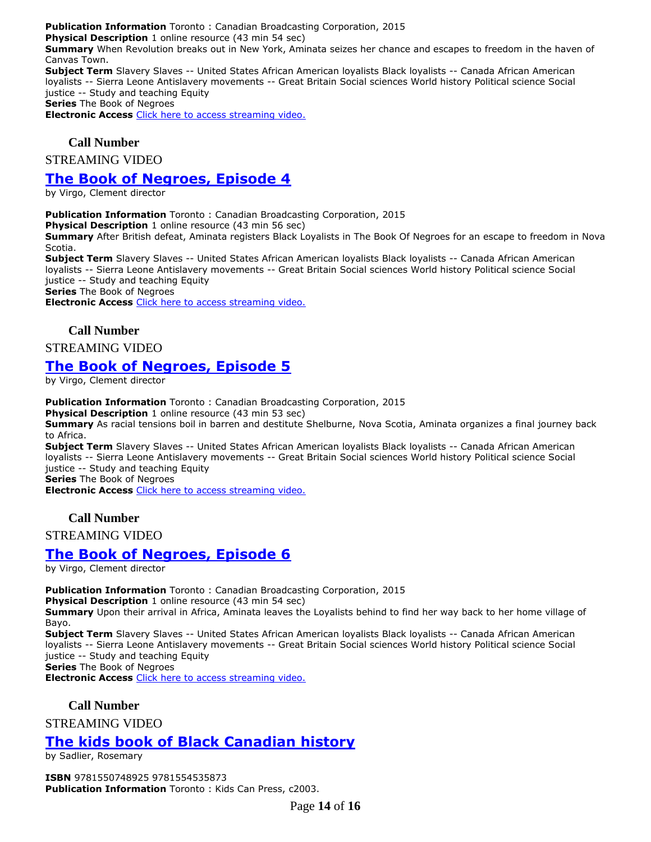**Publication Information** Toronto : Canadian Broadcasting Corporation, 2015

**Physical Description** 1 online resource (43 min 54 sec)

**Summary** When Revolution breaks out in New York, Aminata seizes her chance and escapes to freedom in the haven of Canvas Town.

**Subject Term** Slavery Slaves -- United States African American loyalists Black loyalists -- Canada African American loyalists -- Sierra Leone Antislavery movements -- Great Britain Social sciences World history Political science Social justice -- Study and teaching Equity

**Series** The Book of Negroes

**Electronic Access** [Click here to access streaming video.](http://curio.ca/en/video/the-book-of-negroes-episode-3-5193/)

### **Call Number**

STREAMING VIDEO

## **[The Book of Negroes, Episode 4](https://ug.ent.sirsidynix.net/client/en_CA/TJR/search/detailnonmodal/ent:$002f$002fSD_ILS$002f0$002fSD_ILS:308716/email?dt=list)**

by Virgo, Clement director

**Publication Information** Toronto : Canadian Broadcasting Corporation, 2015

**Physical Description** 1 online resource (43 min 56 sec)

**Summary** After British defeat, Aminata registers Black Loyalists in The Book Of Negroes for an escape to freedom in Nova Scotia.

**Subject Term** Slavery Slaves -- United States African American loyalists Black loyalists -- Canada African American loyalists -- Sierra Leone Antislavery movements -- Great Britain Social sciences World history Political science Social justice -- Study and teaching Equity

**Series** The Book of Negroes

**Electronic Access** [Click here to access streaming video.](http://curio.ca/en/video/the-book-of-negroes-episode-4-5291/)

### **Call Number**

STREAMING VIDEO

## **[The Book of Negroes, Episode 5](https://ug.ent.sirsidynix.net/client/en_CA/TJR/search/detailnonmodal/ent:$002f$002fSD_ILS$002f0$002fSD_ILS:308717/email?dt=list)**

by Virgo, Clement director

**Publication Information** Toronto : Canadian Broadcasting Corporation, 2015

**Physical Description** 1 online resource (43 min 53 sec)

**Summary** As racial tensions boil in barren and destitute Shelburne, Nova Scotia, Aminata organizes a final journey back to Africa.

**Subject Term** Slavery Slaves -- United States African American loyalists Black loyalists -- Canada African American loyalists -- Sierra Leone Antislavery movements -- Great Britain Social sciences World history Political science Social justice -- Study and teaching Equity

**Series** The Book of Negroes

**Electronic Access** [Click here to access streaming video.](http://curio.ca/en/video/the-book-of-negroes-episode-5-5292/)

### **Call Number**

STREAMING VIDEO

## **[The Book of Negroes, Episode 6](https://ug.ent.sirsidynix.net/client/en_CA/TJR/search/detailnonmodal/ent:$002f$002fSD_ILS$002f0$002fSD_ILS:308718/email?dt=list)**

by Virgo, Clement director

**Publication Information** Toronto : Canadian Broadcasting Corporation, 2015

**Physical Description** 1 online resource (43 min 54 sec)

**Summary** Upon their arrival in Africa, Aminata leaves the Loyalists behind to find her way back to her home village of Bayo.

**Subject Term** Slavery Slaves -- United States African American loyalists Black loyalists -- Canada African American loyalists -- Sierra Leone Antislavery movements -- Great Britain Social sciences World history Political science Social justice -- Study and teaching Equity

**Series** The Book of Negroes **Electronic Access** [Click here to access streaming video.](http://curio.ca/en/video/the-book-of-negroes-episode-6-5293/)

#### **Call Number**

STREAMING VIDEO

## **[The kids book of Black Canadian history](https://ug.ent.sirsidynix.net/client/en_CA/TJR/search/detailnonmodal/ent:$002f$002fSD_ILS$002f0$002fSD_ILS:146047/email?dt=list)**

by Sadlier, Rosemary

**ISBN** 9781550748925 9781554535873 **Publication Information** Toronto : Kids Can Press, c2003.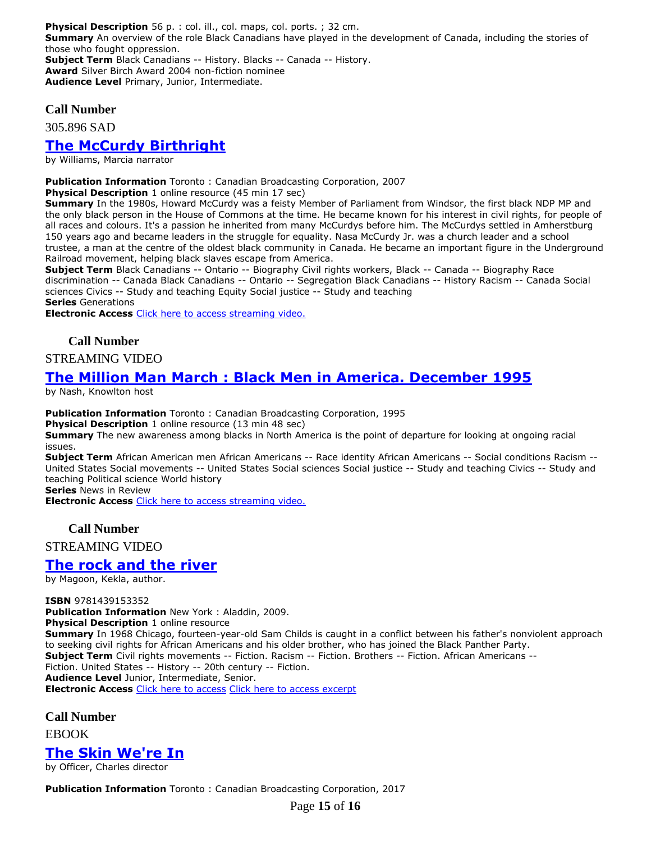**Physical Description** 56 p. : col. ill., col. maps, col. ports. ; 32 cm. **Summary** An overview of the role Black Canadians have played in the development of Canada, including the stories of those who fought oppression. **Subject Term** Black Canadians -- History. Blacks -- Canada -- History. **Award** Silver Birch Award 2004 non-fiction nominee **Audience Level** Primary, Junior, Intermediate.

#### **Call Number**

305.896 SAD

## **[The McCurdy Birthright](https://ug.ent.sirsidynix.net/client/en_CA/TJR/search/detailnonmodal/ent:$002f$002fSD_ILS$002f0$002fSD_ILS:311719/email?dt=list)**

by Williams, Marcia narrator

**Publication Information** Toronto : Canadian Broadcasting Corporation, 2007

**Physical Description** 1 online resource (45 min 17 sec)

**Summary** In the 1980s, Howard McCurdy was a feisty Member of Parliament from Windsor, the first black NDP MP and the only black person in the House of Commons at the time. He became known for his interest in civil rights, for people of all races and colours. It's a passion he inherited from many McCurdys before him. The McCurdys settled in Amherstburg 150 years ago and became leaders in the struggle for equality. Nasa McCurdy Jr. was a church leader and a school trustee, a man at the centre of the oldest black community in Canada. He became an important figure in the Underground Railroad movement, helping black slaves escape from America.

**Subject Term** Black Canadians -- Ontario -- Biography Civil rights workers, Black -- Canada -- Biography Race discrimination -- Canada Black Canadians -- Ontario -- Segregation Black Canadians -- History Racism -- Canada Social sciences Civics -- Study and teaching Equity Social justice -- Study and teaching **Series** Generations

**Electronic Access** [Click here to access streaming video.](http://curio.ca/en/video/the-mccurdy-birthright-1332/)

### **Call Number**

#### STREAMING VIDEO

## **[The Million Man March : Black Men in America. December 1995](https://ug.ent.sirsidynix.net/client/en_CA/TJR/search/detailnonmodal/ent:$002f$002fSD_ILS$002f0$002fSD_ILS:314247/email?)**

by Nash, Knowlton host

**Publication Information** Toronto : Canadian Broadcasting Corporation, 1995

**Physical Description** 1 online resource (13 min 48 sec)

**Summary** The new awareness among blacks in North America is the point of departure for looking at ongoing racial issues.

**Subject Term** African American men African Americans -- Race identity African Americans -- Social conditions Racism -- United States Social movements -- United States Social sciences Social justice -- Study and teaching Civics -- Study and teaching Political science World history

**Series** News in Review

**Electronic Access** [Click here to access streaming video.](http://curio.ca/en/video/the-million-man-march-black-men-in-america-2342/)

#### **Call Number**

STREAMING VIDEO

### **[The rock and the river](https://ug.ent.sirsidynix.net/client/en_CA/TJR/search/detailnonmodal/ent:$002f$002fSD_ILS$002f0$002fSD_ILS:286536/email?dt=list)**

by Magoon, Kekla, author.

**ISBN** 9781439153352 **Publication Information** New York : Aladdin, 2009. **Physical Description** 1 online resource **Summary** In 1968 Chicago, fourteen-year-old Sam Childs is caught in a conflict between his father's nonviolent approach to seeking civil rights for African Americans and his older brother, who has joined the Black Panther Party. **Subject Term** Civil rights movements -- Fiction. Racism -- Fiction. Brothers -- Fiction. African Americans -- Fiction. United States -- History -- 20th century -- Fiction. **Audience Level** Junior, Intermediate, Senior. **Electronic Access** [Click here to access](http://ugdsb.lib.overdrive.com/ContentDetails.htm?ID=3443A561-C6C9-49E9-840D-E219DA5F2A69) [Click here to access excerpt](https://samples.overdrive.com/?crid=3443A561-C6C9-49E9-840D-E219DA5F2A69&.epub-sample.overdrive.com)

**Call Number**

EBOOK

## **[The Skin We're In](https://ug.ent.sirsidynix.net/client/en_CA/TJR/search/detailnonmodal/ent:$002f$002fSD_ILS$002f0$002fSD_ILS:306985/email?)**

by Officer, Charles director

**Publication Information** Toronto : Canadian Broadcasting Corporation, 2017

Page **15** of **16**